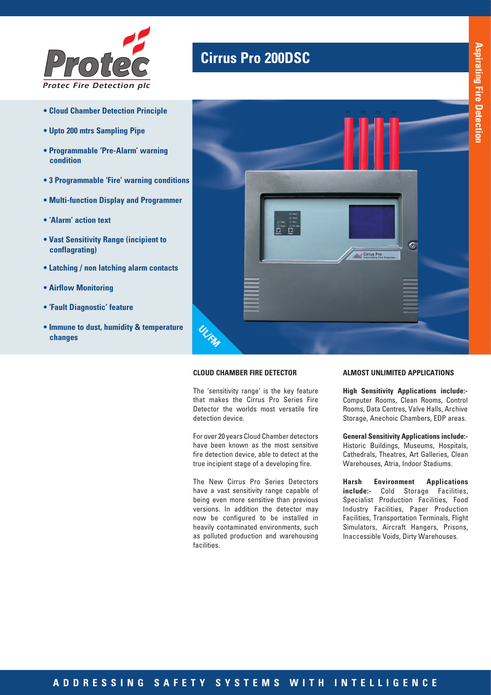

- **Cloud Chamber Detection Principle**
- **Upto 200 mtrs Sampling Pipe**
- **Programmable 'Pre-Alarm' warning condition**
- **3 Programmable 'Fire' warning conditions**
- **Multi-function Display and Programmer**
- **'Alarm' action text**
- **Vast Sensitivity Range (incipient to conflagrating)**
- **Latching / non latching alarm contacts**
- **Airflow Monitoring**
- **'Fault Diagnostic' feature**
- **Immune to dust, humidity & temperature changes**

# **Cirrus Pro 200DSC**



#### **CLOUD CHAMBER FIRE DETECTOR**

The 'sensitivity range' is the key feature that makes the Cirrus Pro Series Fire Detector the worlds most versatile fire detection device.

For over 20 years Cloud Chamber detectors have been known as the most sensitive fire detection device, able to detect at the true incipient stage of a developing fire.

The New Cirrus Pro Series Detectors have a vast sensitivity range capable of being even more sensitive than previous versions. In addition the detector may now be configured to be installed in heavily contaminated environments, such as polluted production and warehousing facilities.

#### **ALMOST UNLIMITED APPLICATIONS**

**High Sensitivity Applications include:-** Computer Rooms, Clean Rooms, Control Rooms, Data Centres, Valve Halls, Archive Storage, Anechoic Chambers, EDP areas.

**General Sensitivity Applications include:-**  Historic Buildings, Museums, Hospitals, Cathedrals, Theatres, Art Galleries, Clean Warehouses, Atria, Indoor Stadiums.

**Harsh Environment Applications include:-** Cold Storage Facilities, Specialist Production Facilities, Food Industry Facilities, Paper Production Facilities, Transportation Terminals, Flight Simulators, Aircraft Hangers, Prisons, Inaccessible Voids, Dirty Warehouses.